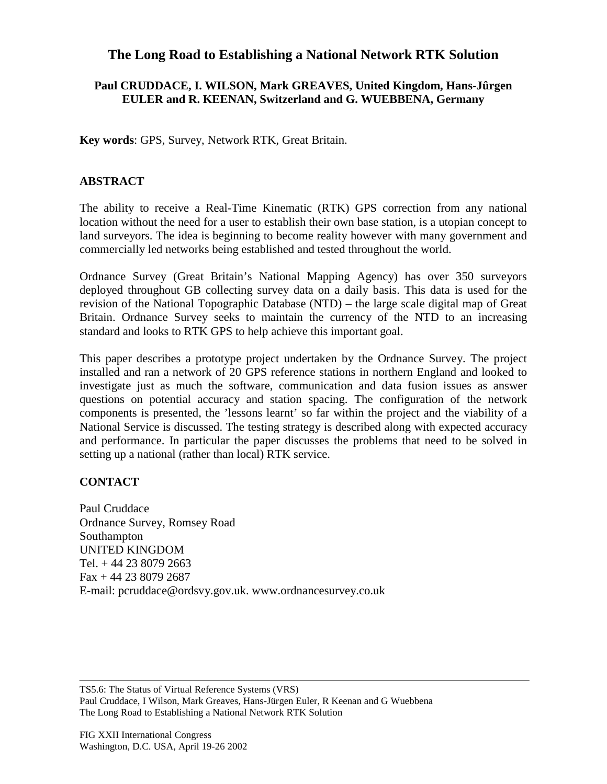## **The Long Road to Establishing a National Network RTK Solution**

## **Paul CRUDDACE, I. WILSON, Mark GREAVES, United Kingdom, Hans-Jûrgen EULER and R. KEENAN, Switzerland and G. WUEBBENA, Germany**

**Key words**: GPS, Survey, Network RTK, Great Britain.

## **ABSTRACT**

The ability to receive a Real-Time Kinematic (RTK) GPS correction from any national location without the need for a user to establish their own base station, is a utopian concept to land surveyors. The idea is beginning to become reality however with many government and commercially led networks being established and tested throughout the world.

Ordnance Survey (Great Britain's National Mapping Agency) has over 350 surveyors deployed throughout GB collecting survey data on a daily basis. This data is used for the revision of the National Topographic Database (NTD) – the large scale digital map of Great Britain. Ordnance Survey seeks to maintain the currency of the NTD to an increasing standard and looks to RTK GPS to help achieve this important goal.

This paper describes a prototype project undertaken by the Ordnance Survey. The project installed and ran a network of 20 GPS reference stations in northern England and looked to investigate just as much the software, communication and data fusion issues as answer questions on potential accuracy and station spacing. The configuration of the network components is presented, the 'lessons learnt' so far within the project and the viability of a National Service is discussed. The testing strategy is described along with expected accuracy and performance. In particular the paper discusses the problems that need to be solved in setting up a national (rather than local) RTK service.

## **CONTACT**

Paul Cruddace Ordnance Survey, Romsey Road Southampton UNITED KINGDOM Tel. + 44 23 8079 2663 Fax + 44 23 8079 2687 E-mail: pcruddace@ordsvy.gov.uk. www.ordnancesurvey.co.uk

TS5.6: The Status of Virtual Reference Systems (VRS) Paul Cruddace, I Wilson, Mark Greaves, Hans-Jürgen Euler, R Keenan and G Wuebbena The Long Road to Establishing a National Network RTK Solution